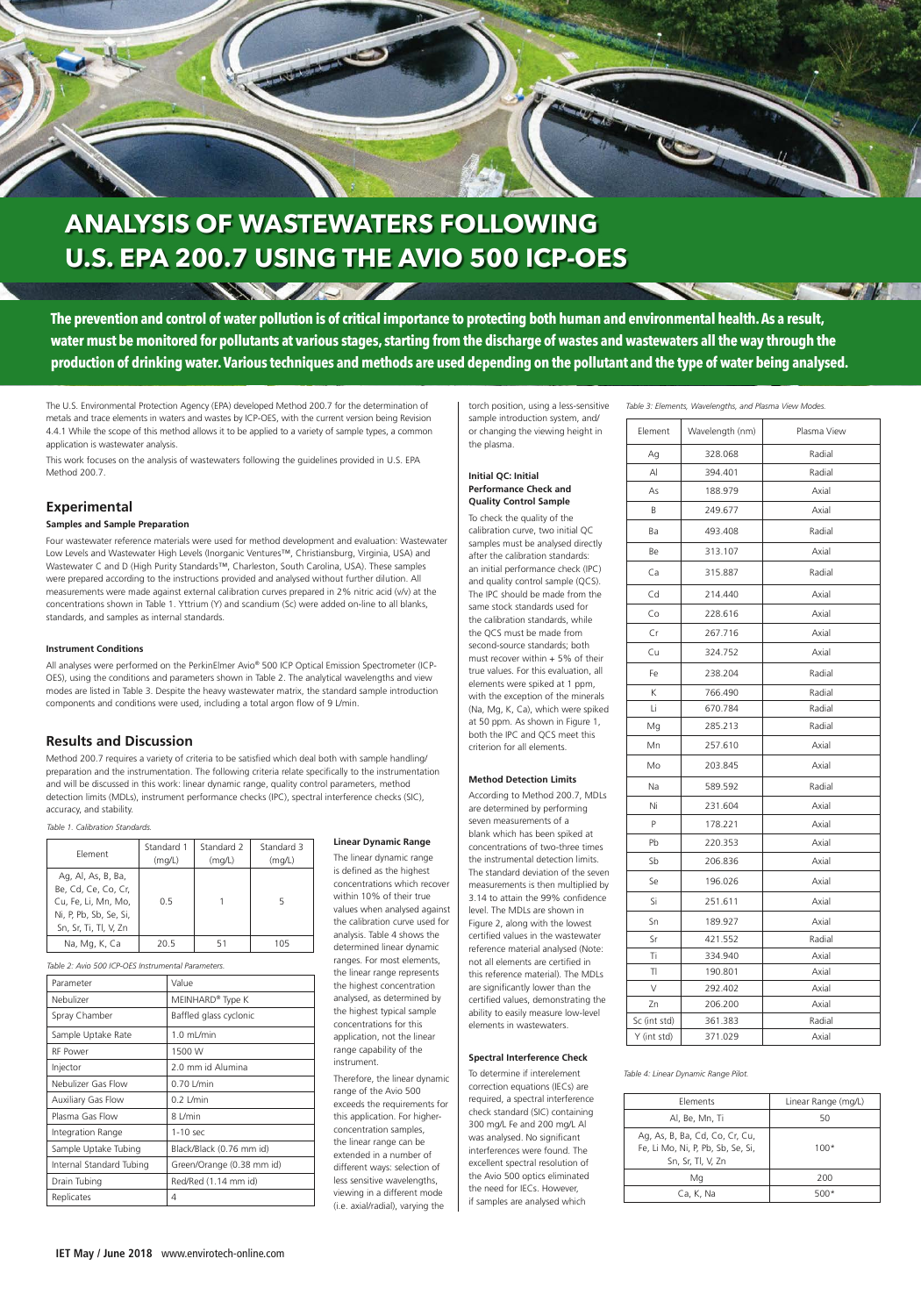The U.S. Environmental Protection Agency (EPA) developed Method 200.7 for the determination of metals and trace elements in waters and wastes by ICP-OES, with the current version being Revision 4.4.1 While the scope of this method allows it to be applied to a variety of sample types, a common application is wastewater analysis.

This work focuses on the analysis of wastewaters following the guidelines provided in U.S. EPA Method 200.7.

## **Experimental**

#### **Samples and Sample Preparation**

Four wastewater reference materials were used for method development and evaluation: Wastewater Low Levels and Wastewater High Levels (Inorganic Ventures™, Christiansburg, Virginia, USA) and Wastewater C and D (High Purity Standards™, Charleston, South Carolina, USA). These samples were prepared according to the instructions provided and analysed without further dilution. All measurements were made against external calibration curves prepared in 2% nitric acid (v/v) at the concentrations shown in Table 1. Yttrium (Y) and scandium (Sc) were added on-line to all blanks, standards, and samples as internal standards.

#### **Instrument Conditions**

All analyses were performed on the PerkinElmer Avio® 500 ICP Optical Emission Spectrometer (ICP-OES), using the conditions and parameters shown in Table 2. The analytical wavelengths and view modes are listed in Table 3. Despite the heavy wastewater matrix, the standard sample introduction components and conditions were used, including a total argon flow of 9 L/min.

### **Results and Discussion**

Method 200.7 requires a variety of criteria to be satisfied which deal both with sample handling/ preparation and the instrumentation. The following criteria relate specifically to the instrumentation and will be discussed in this work: linear dynamic range, quality control parameters, method detection limits (MDLs), instrument performance checks (IPC), spectral interference checks (SIC), accuracy, and stability.

#### **Linear Dynamic Range**

The linear dynamic range is defined as the highest concentrations which recover within 10% of their true values when analysed against the calibration curve used for analysis. Table 4 shows the determined linear dynamic ranges. For most elements, the linear range represents the highest concentration analysed, as determined by the highest typical sample concentrations for this application, not the linear

range capability of the instrument.

Therefore, the linear dynamic range of the Avio 500 exceeds the requirements for this application. For higherconcentration samples, the linear range can be extended in a number of different ways: selection of less sensitive wavelengths, viewing in a different mode (i.e. axial/radial), varying the

torch position, using a less-sensitive sample introduction system, and/ or changing the viewing height in the plasma.

#### **Initial QC: Initial Performance Check and Quality Control Sample**

To check the quality of the calibration curve, two initial QC samples must be analysed directly after the calibration standards: an initial performance check (IPC) and quality control sample (QCS). The IPC should be made from the same stock standards used for the calibration standards, while the QCS must be made from second-source standards; both must recover within + 5% of their true values. For this evaluation, all elements were spiked at 1 ppm, with the exception of the minerals (Na, Mg, K, Ca), which were spiked at 50 ppm. As shown in Figure 1, both the IPC and QCS meet this criterion for all elements.

#### **Method Detection Limits**

According to Method 200.7, MDLs are determined by performing seven measurements of a blank which has been spiked at concentrations of two-three times the instrumental detection limits. The standard deviation of the seven measurements is then multiplied by 3.14 to attain the 99% confidence level. The MDLs are shown in Figure 2, along with the lowest certified values in the wastewater reference material analysed (Note: not all elements are certified in this reference material). The MDLs are significantly lower than the certified values, demonstrating the ability to easily measure low-level elements in wastewaters.

#### **Spectral Interference Check**

To determine if interelement correction equations (IECs) are required, a spectral interference check standard (SIC) containing 300 mg/L Fe and 200 mg/L Al was analysed. No significant interferences were found. The excellent spectral resolution of the Avio 500 optics eliminated the need for IECs. However, if samples are analysed which



# **ANALYSIS OF WASTEWATERS FOLLOWING U.S. EPA 200.7 USING THE AVIO 500 ICP-OES**

**SAMS IT** 

**The prevention and control of water pollution is of critical importance to protecting both human and environmental health. As a result, water must be monitored for pollutants at various stages, starting from the discharge of wastes and wastewaters all the way through the production of drinking water. Various techniques and methods are used depending on the pollutant and the type of water being analysed.**

| Table 3: Elements, Wavelengths, and Plasma View Modes. |  |
|--------------------------------------------------------|--|
|--------------------------------------------------------|--|

*Table 1. Calibration Standards.*

*Table 2: Avio 500 ICP-OES Instrumental Parameters.*

| Element<br>Wavelength (nm) |                   | Plasma View |  |
|----------------------------|-------------------|-------------|--|
| Ag                         | 328.068           | Radial      |  |
| $\mathsf{A}$               | 394.401           | Radial      |  |
| As                         | 188.979           | Axial       |  |
| B                          | 249.677           | Axial       |  |
| Ba                         | 493.408           | Radial      |  |
| Be                         | 313.107           | Axial       |  |
| Ca                         | 315.887           | Radial      |  |
| Cd                         | 214.440           | Axial       |  |
| Co                         | 228.616           | Axial       |  |
| Cr                         | 267.716           | Axial       |  |
| Cu                         | 324.752           | Axial       |  |
| Fe                         | 238.204           | Radial      |  |
| K                          | 766.490           | Radial      |  |
| Li                         | 670.784           | Radial      |  |
| Mg                         | 285.213           | Radial      |  |
| Mn                         | 257.610           | Axial       |  |
| Mo                         | 203.845           | Axial       |  |
| Na                         | 589.592           | Radial      |  |
| Ni                         | 231.604           | Axial       |  |
| P                          | 178.221           | Axial       |  |
| Pb                         | 220.353<br>Axial  |             |  |
| Sb                         | 206.836           | Axial       |  |
| Se                         | 196.026           | Axial       |  |
| Si<br>251.611              |                   | Axial       |  |
| Sn<br>189.927              |                   | Axial       |  |
| Sr                         | Radial<br>421.552 |             |  |
| Τi                         | 334.940<br>Axial  |             |  |
| TI                         | 190.801           | Axial       |  |
| V                          | 292.402           | Axial       |  |
| 206.200<br>Zn              |                   | Axial       |  |
| Sc (int std)<br>361.383    |                   | Radial      |  |
| Y (int std)                | 371.029           | Axial       |  |

*Table 4: Linear Dynamic Range Pilot.*

| Parameter                 | Value                        |  |
|---------------------------|------------------------------|--|
| Nebulizer                 | MEINHARD <sup>®</sup> Type K |  |
| Spray Chamber             | Baffled glass cyclonic       |  |
| Sample Uptake Rate        | $1.0$ mL/min                 |  |
| <b>RF Power</b>           | 1500 W                       |  |
| Injector                  | 2.0 mm id Alumina            |  |
| Nebulizer Gas Flow        | $0.70$ L/min                 |  |
| <b>Auxiliary Gas Flow</b> | $0.2$ L/min                  |  |
| Plasma Gas Flow           | 8 L/min                      |  |
| Integration Range         | 1-10 sec                     |  |
| Sample Uptake Tubing      | Black/Black (0.76 mm id)     |  |
| Internal Standard Tubing  | Green/Orange (0.38 mm id)    |  |
| Drain Tubing              | Red/Red (1.14 mm id)         |  |
| Replicates                | 4                            |  |

| Element                                                                                                             | Standard 1<br>(mq/L) | Standard 2<br>(mq/L) | Standard 3<br>(mq/L) |
|---------------------------------------------------------------------------------------------------------------------|----------------------|----------------------|----------------------|
| Ag, Al, As, B, Ba,<br>Be. Cd. Ce. Co. Cr.<br>Cu, Fe, Li, Mn, Mo,<br>Ni, P, Pb, Sb, Se, Si,<br>Sn, Sr, Ti, Tl, V, Zn | 0.5                  |                      |                      |
| Na, Mg, K, Ca                                                                                                       | 20.5                 | 51                   | 105                  |

| Elements                                                                                 | Linear Range (mg/L) |
|------------------------------------------------------------------------------------------|---------------------|
| Al, Be, Mn, Ti                                                                           | 50                  |
| Ag, As, B, Ba, Cd, Co, Cr, Cu,<br>Fe, Li Mo, Ni, P, Pb, Sb, Se, Si,<br>Sn, Sr, Tl, V, Zn | $100*$              |
| Mg                                                                                       | 200                 |
| Ca, K, Na                                                                                | 500*                |

**IET May / June 2018** www.envirotech-online.com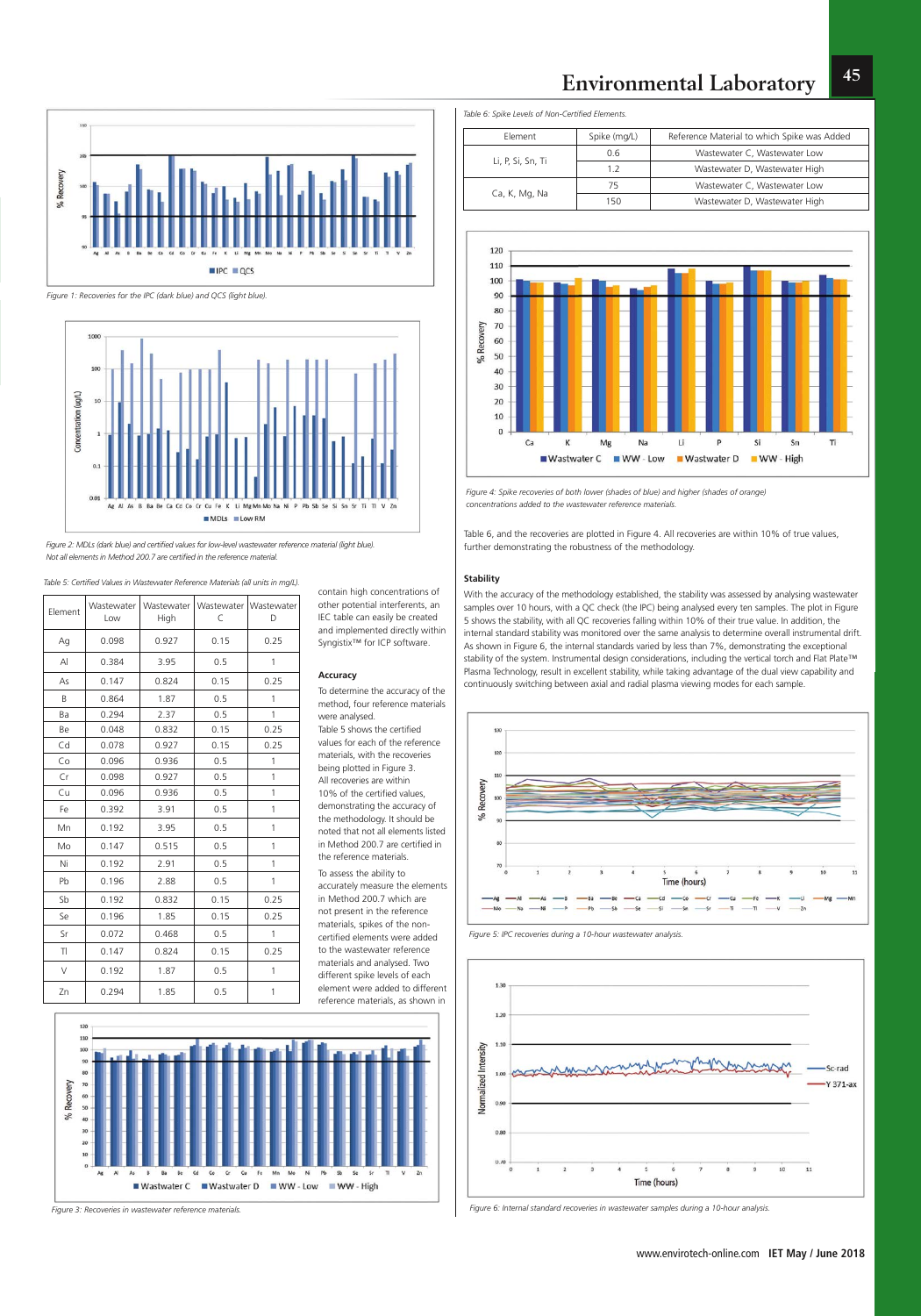**45**

contain high concentrations of other potential interferents, an IEC table can easily be created and implemented directly within Syngistix™ for ICP software.

#### www.envirotech-online.com **IET May / June 2018**

#### **Accuracy**

To determine the accuracy of the method, four reference materials were analysed. Table 5 shows the certified values for each of the reference materials, with the recoveries being plotted in Figure 3. All recoveries are within 10% of the certified values, demonstrating the accuracy of the methodology. It should be noted that not all elements listed in Method 200.7 are certified in the reference materials. To assess the ability to accurately measure the elements in Method 200.7 which are not present in the reference materials, spikes of the noncertified elements were added to the wastewater reference materials and analysed. Two different spike levels of each element were added to different reference materials, as shown in



Table 6, and the recoveries are plotted in Figure 4. All recoveries are within 10% of true values, further demonstrating the robustness of the methodology.

#### **Stability**

With the accuracy of the methodology established, the stability was assessed by analysing wastewater samples over 10 hours, with a QC check (the IPC) being analysed every ten samples. The plot in Figure 5 shows the stability, with all QC recoveries falling within 10% of their true value. In addition, the internal standard stability was monitored over the same analysis to determine overall instrumental drift. As shown in Figure 6, the internal standards varied by less than 7%, demonstrating the exceptional stability of the system. Instrumental design considerations, including the vertical torch and Flat Plate™ Plasma Technology, result in excellent stability, while taking advantage of the dual view capability and continuously switching between axial and radial plasma viewing modes for each sample.



*Table 5: Certified Values in Wastewater Reference Materials (all units in mg/L).*



*Figure 1: Recoveries for the IPC (dark blue) and QCS (light blue).*



*Figure 2: MDLs (dark blue) and certified values for low-level wastewater reference material (light blue). Not all elements in Method 200.7 are certified in the reference material.*

*Table 6: Spike Levels of Non-Certified Elements.*

| Flement           | Spike (mg/L) | Reference Material to which Spike was Added |
|-------------------|--------------|---------------------------------------------|
| Li, P, Si, Sn, Ti | 0.6          | Wastewater C, Wastewater Low                |
|                   | 1.2          | Wastewater D, Wastewater High               |
| Ca, K, Mg, Na     | 75           | Wastewater C, Wastewater Low                |
|                   | 150          | Wastewater D, Wastewater High               |



| Element      | Wastewater<br>Low | Wastewater<br>High | C    | Wastewater   Wastewater<br>D |
|--------------|-------------------|--------------------|------|------------------------------|
| Ag           | 0.098             | 0.927              | 0.15 | 0.25                         |
| $\mathsf{A}$ | 0.384             | 3.95               | 0.5  | 1                            |
| As           | 0.147             | 0.824              | 0.15 | 0.25                         |
| B            | 0.864             | 1.87               | 0.5  | 1                            |
| Ba           | 0.294             | 2.37               | 0.5  | 1                            |
| Be           | 0.048             | 0.832              | 0.15 | 0.25                         |
| Cd           | 0.078             | 0.927              | 0.15 | 0.25                         |
| Co           | 0.096             | 0.936              | 0.5  | 1                            |
| Cr           | 0.098             | 0.927              | 0.5  | 1                            |
| Cu           | 0.096             | 0.936              | 0.5  | 1                            |
| Fe           | 0.392             | 3.91               | 0.5  | 1                            |
| Mn           | 0.192             | 3.95               | 0.5  | 1                            |
| Mo           | 0.147             | 0.515              | 0.5  | 1                            |
| Ni           | 0.192             | 2.91               | 0.5  | 1                            |
| Pb           | 0.196             | 2.88               | 0.5  | 1                            |
| Sb           | 0.192             | 0.832              | 0.15 | 0.25                         |
| Se           | 0.196             | 1.85               | 0.15 | 0.25                         |
| Sr           | 0.072             | 0.468              | 0.5  | 1                            |
| TI           | 0.147             | 0.824              | 0.15 | 0.25                         |
| V            | 0.192             | 1.87               | 0.5  | 1                            |
| Zn           | 0.294             | 1.85               | 0.5  | 1                            |

*Figure 3: Recoveries in wastewater reference materials.*

*Figure 4: Spike recoveries of both lower (shades of blue) and higher (shades of orange) concentrations added to the wastewater reference materials.*





*Figure 6: Internal standard recoveries in wastewater samples during a 10-hour analysis.*